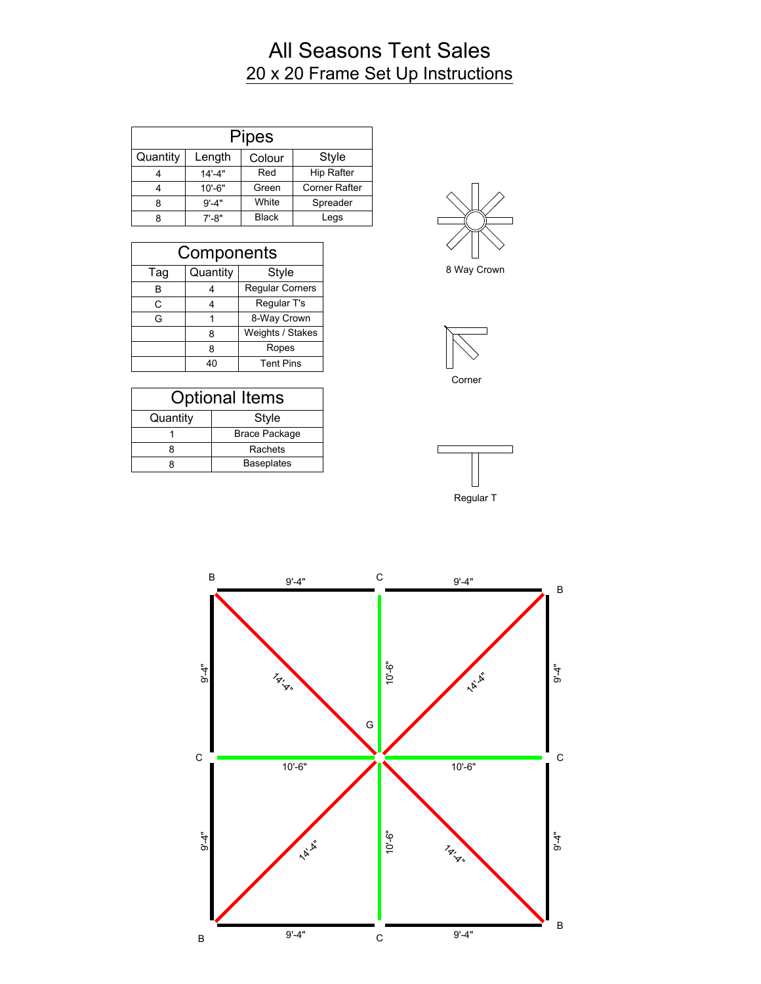## All Seasons Tent Sales 20 x 20 Frame Set Up Instructions

| <b>Pipes</b> |            |              |                      |
|--------------|------------|--------------|----------------------|
| Quantity     | Length     | Colour       | <b>Style</b>         |
|              | $14' - 4"$ | Red          | <b>Hip Rafter</b>    |
|              | $10' - 6"$ | Green        | <b>Corner Rafter</b> |
|              | $9' - 4"$  | White        | Spreader             |
|              | $7' - 8"$  | <b>Black</b> | Legs                 |

| Components |          |                        |
|------------|----------|------------------------|
| Tag        | Quantity | Style                  |
| в          |          | <b>Regular Corners</b> |
| C          |          | Regular T's            |
| G          |          | 8-Way Crown            |
|            | 8        | Weights / Stakes       |
|            | 8        | Ropes                  |
|            | 40       | <b>Tent Pins</b>       |

| <b>Optional Items</b> |                      |  |
|-----------------------|----------------------|--|
| Quantity              | Style                |  |
|                       | <b>Brace Package</b> |  |
|                       | Rachets              |  |
|                       | <b>Baseplates</b>    |  |



8 Way Crown